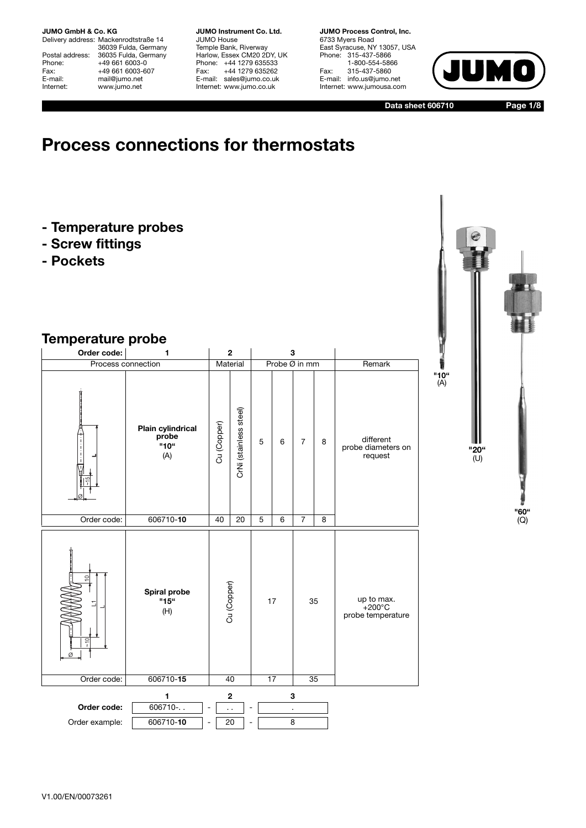Delivery address: Mackenrodtstraße 14 36039 Fulda, Germany Postal address: 36035 Fulda, Germany<br>Phone: +49 661 6003-0 Phone: +49 661 6003-0<br>Fax: +49 661 6003-60 Fax: +49 661 6003-607<br>E-mail: mail@jumo.net E-mail: mail@jumo.net<br>
Internet: www.iumo.net www.jumo.net

**JUMO Instrument Co. Ltd.** JUMO House Temple Bank, Riverway Harlow, Essex CM20 2DY, UK Phone: +44 1279 635533 Fax: +44 1279 635262 E-mail: sales@jumo.co.uk Internet: www.jumo.co.uk

**JUMO Process Control, Inc.** 6733 Myers Road East Syracuse, NY 13057, USA Phone: 315-437-5866 1-800-554-5866 Fax: 315-437-5860 E-mail: info.us@jumo.net Internet: www.jumousa.com



**Data sheet 606710**

**Page 1/8**

# **Process connections for thermostats**

- **Temperature probes**
- **Screw fittings**
- **Pockets**

## **Temperature probe**

| Order code:                                       | 1                                                | $\overline{2}$    |                        |   |          | 3              |   |                                            |
|---------------------------------------------------|--------------------------------------------------|-------------------|------------------------|---|----------|----------------|---|--------------------------------------------|
|                                                   | Process connection                               |                   | Material               |   |          | Probe Ø in mm  |   | Remark                                     |
|                                                   | <b>Plain cylindrical</b><br>probe<br>"10"<br>(A) | Cu (Copper)       | CrNi (stainless steel) | 5 | 6        | $\overline{7}$ | 8 | different<br>probe diameters on<br>request |
| Order code:                                       | 606710-10                                        | 40                | 20                     | 5 | 6        | $\overline{7}$ | 8 |                                            |
| $\circ$<br>$rac{1}{\epsilon}$<br>Ø<br>Order code: | Spiral probe<br>"15"<br>(H)<br>606710-15         | Cu (Copper)<br>40 |                        |   | 17<br>17 | 35<br>35       |   | up to max.<br>+200°C<br>probe temperature  |
|                                                   |                                                  |                   |                        |   |          |                |   |                                            |
| Order code:<br>Order example:                     | 1<br>606710 -<br>606710-10                       | $\ddotsc$<br>20   | $\mathbf 2$            |   |          | 3<br>×,<br>8   |   |                                            |

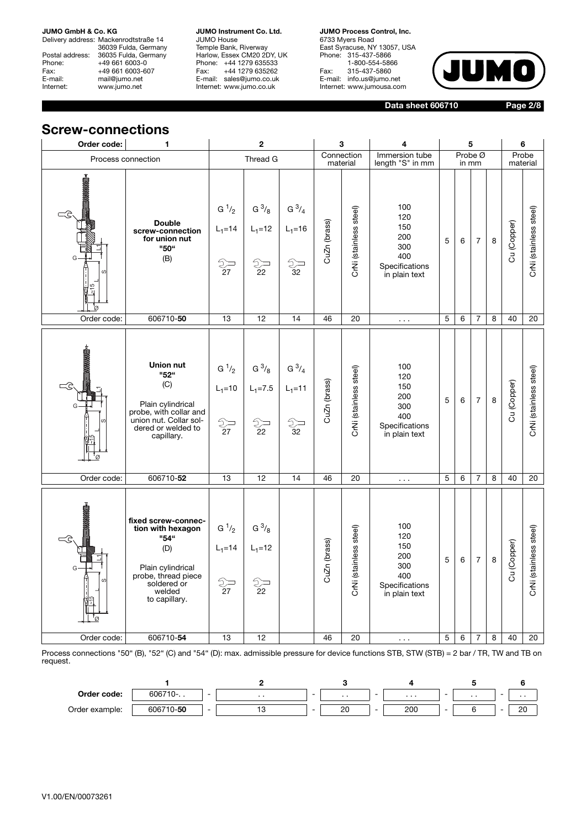Delivery address: Mackenrodtstraße 14 36039 Fulda, Germany Postal address: 36035 Fulda, Germany Phone: +49 661 6003-0<br>Fax: +49 661 6003-60 Fax: +49 661 6003-607<br>E-mail: mail@jumo.net E-mail: mail@jumo.net<br>
Internet: www.iumo.net www.jumo.net

**JUMO Instrument Co. Ltd.** JUMO House Temple Bank, Riverway Harlow, Essex CM20 2DY, UK Phone: +44 1279 635533<br>Fax: +44 1279 635262 +44 1279 635262 E-mail: sales@jumo.co.uk Internet: www.jumo.co.uk

**JUMO Process Control, Inc.** 6733 Myers Road East Syracuse, NY 13057, USA Phone: 315-437-5866 1-800-554-5866 Fax: 315-437-5860 E-mail: info.us@jumo.net Internet: www.jumousa.com



**Data sheet 606710**

**Page 2/8**

### **Screw-connections**

| Order code:                           | 1                                                                                                                                             |                                                                                          | $\mathbf{2}$                         |                                                 |              | 3                      | 4                                                                         |   |                  | 5              |         |             | 6                      |
|---------------------------------------|-----------------------------------------------------------------------------------------------------------------------------------------------|------------------------------------------------------------------------------------------|--------------------------------------|-------------------------------------------------|--------------|------------------------|---------------------------------------------------------------------------|---|------------------|----------------|---------|-------------|------------------------|
|                                       | Process connection                                                                                                                            |                                                                                          | Thread G                             |                                                 |              | Connection<br>material | Immersion tube<br>length "S" in mm                                        |   | Probe Ø<br>in mm |                |         |             | Probe<br>material      |
| <b>HEADS SEE AND THE SECOND LEADS</b> | <b>Double</b><br>screw-connection<br>for union nut<br>"50"<br>(B)                                                                             | $G^1/2$<br>$L_1 = 14$<br>$\begin{matrix} 2 \ \hline 27 \ \hline 27 \end{matrix}$         | $G^{3/8}$<br>$L_1 = 12$<br>22        | $G^{3/4}$<br>$L_1 = 16$<br>D<br>$\overline{3}2$ | CuZn (brass) | CrNi (stainless steel) | 100<br>120<br>150<br>200<br>300<br>400<br>Specifications<br>in plain text | 5 | 6                | $\overline{7}$ | $\bf 8$ | Cu (Copper) | CrNi (stainless steel) |
| Order code:                           | 606710-50                                                                                                                                     | 13                                                                                       | 12                                   | 14                                              | 46           | 20                     | $\sim 100$                                                                | 5 | 6                | $\overline{7}$ | 8       | 40          | 20                     |
| <b>MANAGEMENT</b>                     | Union nut<br>"52"<br>(C)<br>Plain cylindrical<br>probe, with collar and<br>union nut. Collar sol-<br>dered or welded to<br>capillary.         | $G^1/2$<br>$L_1 = 10$<br>$\begin{matrix} 2 \ \overline{27} \ \overline{27} \end{matrix}$ | $G^{3/8}$<br>$L_1 = 7.5$<br>ු—<br>22 | $G^{3/4}$<br>$L_1 = 11$<br>$\frac{2}{32}$       | CuZn (brass) | CrNi (stainless steel) | 100<br>120<br>150<br>200<br>300<br>400<br>Specifications<br>in plain text | 5 | 6                | $\overline{7}$ | $\bf 8$ | Cu (Copper) | CrNi (stainless steel) |
| Order code:                           | 606710-52                                                                                                                                     | 13                                                                                       | 12                                   | 14                                              | 46           | 20                     | $\sim 100$                                                                | 5 | 6                | $\overline{7}$ | 8       | 40          | 20                     |
| <b>NASANGER</b>                       | fixed screw-connec-<br>tion with hexagon<br>"54"<br>(D)<br>Plain cylindrical<br>probe, thread piece<br>soldered or<br>welded<br>to capillary. | $G^1/2$<br>$L_1 = 14$<br>ු—<br>27                                                        | $G^{3}/g$<br>$L_1 = 12$<br>ු—<br>22  |                                                 | CuZn (brass) | CrNi (stainless steel) | 100<br>120<br>150<br>200<br>300<br>400<br>Specifications<br>in plain text | 5 | 6                | $\overline{7}$ | $\bf8$  | Cu (Copper) | CrNi (stainless steel) |
| Order code:                           | 606710-54                                                                                                                                     | 13                                                                                       | 12                                   |                                                 | 46           | 20                     | $\sim$ $\sim$ $\sim$                                                      | 5 | 6                | $\overline{7}$ | 8       | 40          | 20                     |

Process connections "50" (B), "52" (C) and "54" (D): max. admissible pressure for device functions STB, STW (STB) = 2 bar / TR, TW and TB on request.

| Order code:    | 606710-   | - | . . | $\sim$ | $\cdots$ | - | $\cdots$ |   | . . | - | . . |
|----------------|-----------|---|-----|--------|----------|---|----------|---|-----|---|-----|
| Order example: | 606710-50 | - |     | -      | ∩∩<br>ZU |   | 200      | - |     | - | 20  |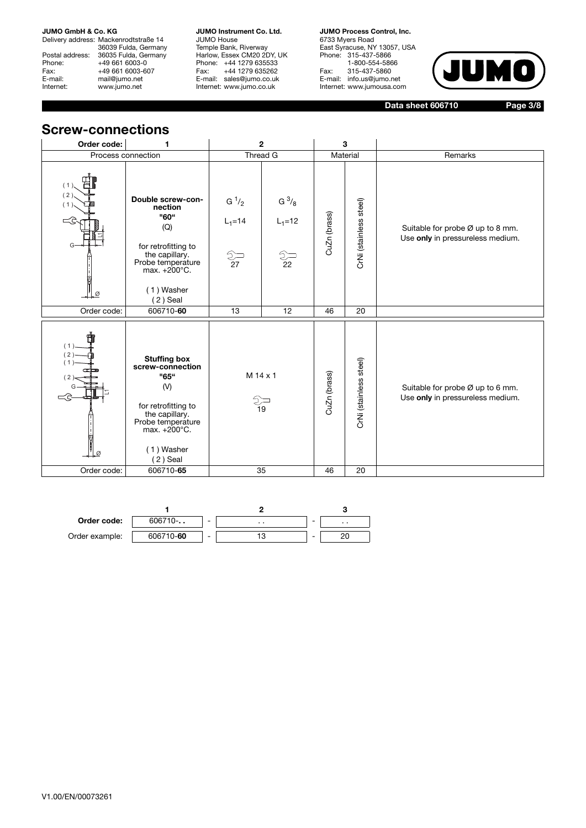Delivery address: Mackenrodtstraße 14 36039 Fulda, Germany Postal address: 36035 Fulda, Germany Phone: +49 661 6003-0<br>Fax: +49 661 6003-60 Fax: +49 661 6003-607<br>E-mail: mail@jumo.net E-mail: mail@jumo.net<br>
Internet: www.iumo.net www.jumo.net

**JUMO Instrument Co. Ltd.** JUMO House Temple Bank, Riverway Harlow, Essex CM20 2DY, UK Phone: +44 1279 635533<br>Fax: +44 1279 635262 +44 1279 635262 E-mail: sales@jumo.co.uk Internet: www.jumo.co.uk

**JUMO Process Control, Inc.** 6733 Myers Road East Syracuse, NY 13057, USA Phone: 315-437-5866 1-800-554-5866 Fax: 315-437-5860 E-mail: info.us@jumo.net Internet: www.jumousa.com



**Data sheet 606710**

**Page 3/8**

### **Screw-connections**

| Order code:          | 1                                                                                                                                                               |                                       | $\mathbf{2}$                              |                    | 3                      |                                                                      |
|----------------------|-----------------------------------------------------------------------------------------------------------------------------------------------------------------|---------------------------------------|-------------------------------------------|--------------------|------------------------|----------------------------------------------------------------------|
|                      | Process connection                                                                                                                                              |                                       | Thread G                                  |                    | Material               | Remarks                                                              |
| (2)<br>(1)<br>G<br>Ø | Double screw-con-<br>nection<br>"60"<br>(Q)<br>for retrofitting to<br>the capillary.<br>Probe temperature<br>max. $+200^{\circ}$ C.<br>(1) Washer<br>$(2)$ Seal | $G^1/2$<br>$L_1 = 14$<br>$rac{2}{27}$ | $G^{3/8}$<br>$L_1 = 12$<br>$\frac{2}{22}$ | CuZn (brass)       | CrNi (stainless steel) | Suitable for probe Ø up to 8 mm.<br>Use only in pressureless medium. |
| Order code:          | 606710-60                                                                                                                                                       | 13                                    | 12                                        | 46                 | 20                     |                                                                      |
| (1)<br>(2)<br>(1)    | <b>Stuffing box</b><br>screw-connection<br>"65"<br>(V)<br>for retrofitting to<br>the capillary.<br>Probe temperature<br>max. +200°C.<br>(1) Washer<br>(2) Seal  | M 14 x 1                              | 19<br>35                                  | CuZn (brass)<br>46 | CrNi (stainless steel) | Suitable for probe Ø up to 6 mm.<br>Use only in pressureless medium. |
| Order code:          | 606710-65                                                                                                                                                       |                                       |                                           |                    | 20                     |                                                                      |

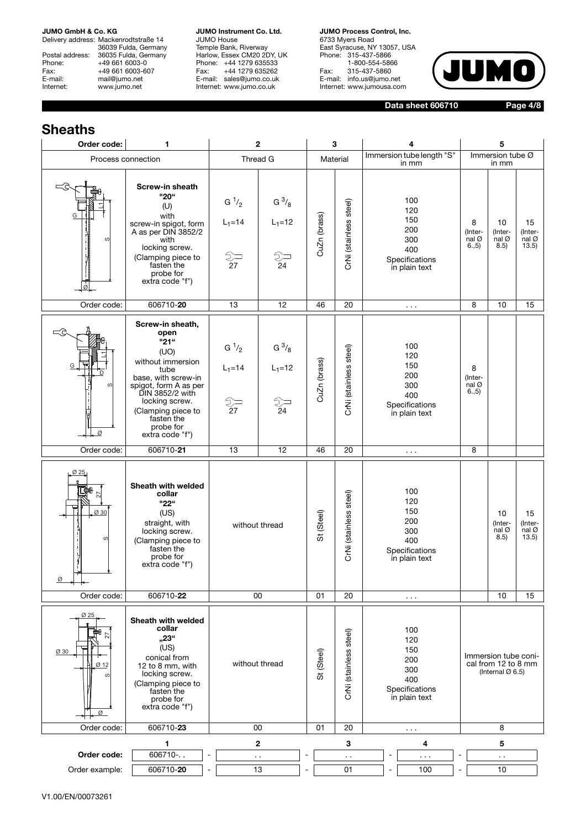Delivery address: Mackenrodtstraße 14 36039 Fulda, Germany Postal address: 36035 Fulda, Germany Phone: +49 661 6003-0<br>Fax: +49 661 6003-60 Fax: +49 661 6003-607<br>E-mail: mail@jumo.net E-mail: mail@jumo.net<br>Internet: www.iumo.net www.jumo.net

**JUMO Instrument Co. Ltd.** JUMO House Temple Bank, Riverway Harlow, Essex CM20 2DY, UK Phone: +44 1279 635533 Fax: +44 1279 635262 E-mail: sales@jumo.co.uk Internet: www.jumo.co.uk

**JUMO Process Control, Inc.** 6733 Myers Road East Syracuse, NY 13057, USA Phone: 315-437-5866 1-800-554-5866 Fax: 315-437-5860 E-mail: info.us@jumo.net Internet: www.jumousa.com



**Data sheet 606710**

**Page 4/8**

## **Sheaths**

| Order code:                    | 1                                                                                                                                                                                                                              | $\mathbf 2$                             |                                                                                      |              | 3                      | 4                                                                         | 5                                             |                                                                             |                                                                             |
|--------------------------------|--------------------------------------------------------------------------------------------------------------------------------------------------------------------------------------------------------------------------------|-----------------------------------------|--------------------------------------------------------------------------------------|--------------|------------------------|---------------------------------------------------------------------------|-----------------------------------------------|-----------------------------------------------------------------------------|-----------------------------------------------------------------------------|
| Process connection             |                                                                                                                                                                                                                                |                                         | Thread G                                                                             |              | Material               | Immersion tube length "S"<br>in mm                                        |                                               | Immersion tube Ø<br>in mm                                                   |                                                                             |
| c                              | Screw-in sheath<br>"20"<br>(U)<br>with<br>screw-in spigot, form<br>A as per DIN 3852/2<br>with<br>locking screw.<br>(Clamping piece to<br>fasten the<br>probe for<br>extra code "f")                                           | $G^1/2$<br>$L_1 = 14$<br>$\frac{2}{27}$ | $G^{3/8}$<br>$L_1 = 12$<br>$\begin{array}{c}\n\bigcirc\\ \bigcirc\\ 24\n\end{array}$ | CuZn (brass) | CrNi (stainless steel) | 100<br>120<br>150<br>200<br>300<br>400<br>Specifications<br>in plain text | 8<br>(Inter-<br>$nal$ $\varnothing$<br>6., 5) | 10<br>(Inter-<br>nal Ø<br>8.5)                                              | 15<br>(Inter-<br>$\overline{\mathsf{nal}}\ \overline{\mathcal{O}}$<br>13.5) |
| Order code:                    | 606710-20                                                                                                                                                                                                                      | 13                                      | 12                                                                                   | 46           | 20                     | $\sim$ $\sim$ $\sim$                                                      | 8                                             | 10                                                                          | 15                                                                          |
| G<br>$\omega$<br>Ø             | Screw-in sheath,<br>open<br>"21"<br>(UO)<br>without immersion<br>tube<br>base, with screw-in<br>spigot, form A as per<br>DIN 3852/2 with<br>locking screw.<br>(Clamping piece to<br>fasten the<br>probe for<br>extra code "f") | $G^1/2$<br>$L_1 = 14$<br>२ —<br>२७      | $G^{3/8}$<br>$L_1 = 12$<br>$\frac{2}{24}$                                            | CuZn (brass) | CrNi (stainless steel) | 100<br>120<br>150<br>200<br>300<br>400<br>Specifications<br>in plain text | 8<br>(Inter-<br>nal@<br>6., 5)                |                                                                             |                                                                             |
| Order code:                    | 606710-21                                                                                                                                                                                                                      | 13                                      | 12                                                                                   | 46           | 20                     | $\sim$ $\sim$ $\sim$                                                      | 8                                             |                                                                             |                                                                             |
| 025<br>Ø 30<br>S<br>Ø          | Sheath with welded<br>collar<br>"22"<br>(US)<br>straight, with<br>locking screw.<br>(Clamping piece to<br>fasten the<br>probe for<br>extra code "f")                                                                           |                                         | without thread                                                                       | St (Steel)   | CrNi (stainless steel) | 100<br>120<br>150<br>200<br>300<br>400<br>Specifications<br>in plain text |                                               | 10<br>(Inter-<br>$nal$ $\varnothing$<br>8.5)                                | 15<br>(Inter-<br>$nal$ $\varnothing$<br>13.5)                               |
| Order code:                    | 606710-22                                                                                                                                                                                                                      |                                         | 00                                                                                   | 01           | 20                     | $\cdots$                                                                  |                                               | 10                                                                          | 15                                                                          |
| Ø 25<br>Ø 30<br>Ø 12<br>S<br>Ø | Sheath with welded<br>collar<br>"23"<br>(US)<br>conical from<br>12 to 8 mm, with<br>locking screw.<br>(Clamping piece to<br>fasten the<br>probe for<br>extra code "f")                                                         |                                         | without thread                                                                       | St (Steel)   | CrNi (stainless steel) | 100<br>120<br>150<br>200<br>300<br>400<br>Specifications<br>in plain text |                                               | Immersion tube coni-<br>cal from 12 to 8 mm<br>(Internal $\varnothing$ 6.5) |                                                                             |
| Order code:                    | 606710-23                                                                                                                                                                                                                      |                                         | 00                                                                                   | 01           | 20                     | $\cdots$                                                                  |                                               | 8                                                                           |                                                                             |
| Order code:                    | 1<br>606710-                                                                                                                                                                                                                   |                                         | $\mathbf{2}$<br>$\sim$ $\sim$                                                        |              | 3<br>$\ddotsc$         | 4<br>۰<br>$\sim$ $\sim$ $\sim$                                            | $\overline{a}$                                | 5<br>$\ddotsc$                                                              |                                                                             |
| Order example:                 | 606710-20                                                                                                                                                                                                                      |                                         | 13                                                                                   |              | 01                     | 100<br>$\qquad \qquad \blacksquare$                                       |                                               | 10                                                                          |                                                                             |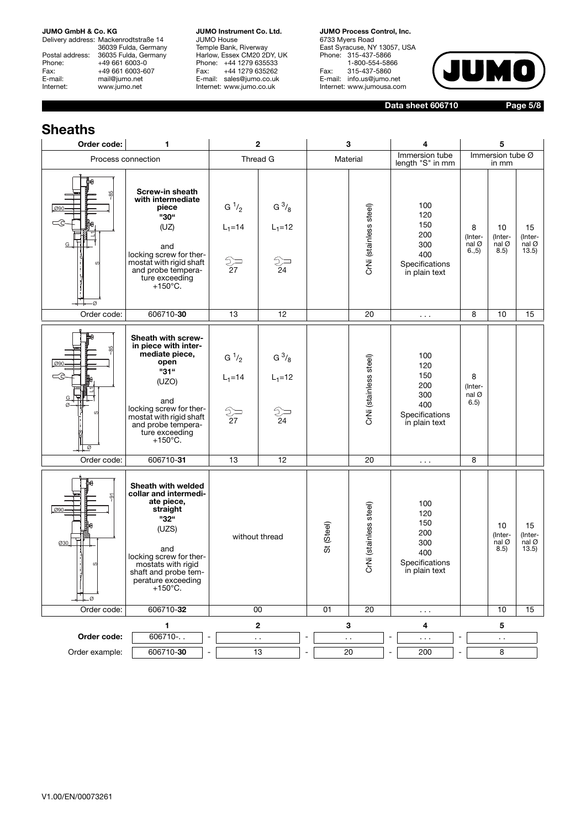Delivery address: Mackenrodtstraße 14 36039 Fulda, Germany Postal address: 36035 Fulda, Germany<br>Phone: +49 661 6003-0 Phone: +49 661 6003-0<br>Fax: +49 661 6003-6 Fax: +49 661 6003-607<br>E-mail: mail@iumo.net mail@jumo.net Internet: www.jumo.net

**JUMO Instrument Co. Ltd.** JUMO House Temple Bank, Riverway Harlow, Essex CM20 2DY, UK Phone: +44 1279 635533<br>Fax: +44 1279 635262 +44 1279 635262 E-mail: sales@jumo.co.uk Internet: www.jumo.co.uk

**JUMO Process Control, Inc.** 6733 Myers Road East Syracuse, NY 13057, USA Phone: 315-437-5866 1-800-554-5866 Fax: 315-437-5860 E-mail: info.us@jumo.net Internet: www.jumousa.com



**Data sheet 606710**

**Page 5/8**

#### **Sheaths Order code: 1 2 3 4 5** Process connection Thread G Material Immersion tube Immersion tube Ø length "S" in mm in mm **Screw-in sheath**  ~85 **with intermediate**   $G^1/2$ G  $^{3}/_{8}$ 100 **piece** CrNi (stainless steel) CrNi (stainless steel) Ø90 120 **"30"** 150 (UZ)  $L_1 = 14$  $L_1=12$ 8 10 15 200 L1 (Inter-nal Ø (Inter-nal Ø (Inter-nal Ø G 300 and 6.,5) 8.5) 13.5) 400 locking screw for ther- $\frac{2}{24}$ mostat with rigid shaft  $\frac{2}{\sqrt{2}}$ Specifications and probe temperain plain text ture exceeding  $+150^{\circ}$ C. Ø Order code: | 606710-**30 |** 13 | 12 | | 20 | ... | 8 | 10 | 15 **Sheath with screwin piece with inter-**~85 **mediate piece, open** 100 G  $\frac{1}{2}$  $G^{3/8}$ CrNi (stainless steel) (stainless steel) Ø90 120 **"31"** 150 8  $L_1 = 14$  $L_1 = 12$ (UZO) 200 (Inter-L1 300 nal Ø G and 6.5) 400 Ø locking screw for ther-CrNi(  $\frac{2}{27}$  $\sum_{24}$ Specifications mostat with rigid shaft in plain text and probe temperature exceeding +150°C. li e Order code: 606710-**31** 13 12 20 . . . 8 **Sheath with welded collar and intermedi-**~91 **ate piece,**  100 (stainless steel) CrNi (stainless steel) **straight** Ø90 120 **"32"** 150 St (Steel) 10 15 (UZS) 200 (Inter-(Interwithout thread 300 Ø30 nal Ø 8.5) nal Ø 13.5) and 400 locking screw for ther-**CrNi** Specifications mostats with rigid in plain text shaft and probe temperature exceeding +150°C. ØOrder code: | 606710-**32 | 00 | 01 | 2**0 | ... | | 10 | 15 **1 2 345 Order code:** 606710-.. |- | .. |- | .. |- | ... |- | ... |- | .. Order example: 606710-30 - 13 - 20 - 200 - 200 - 8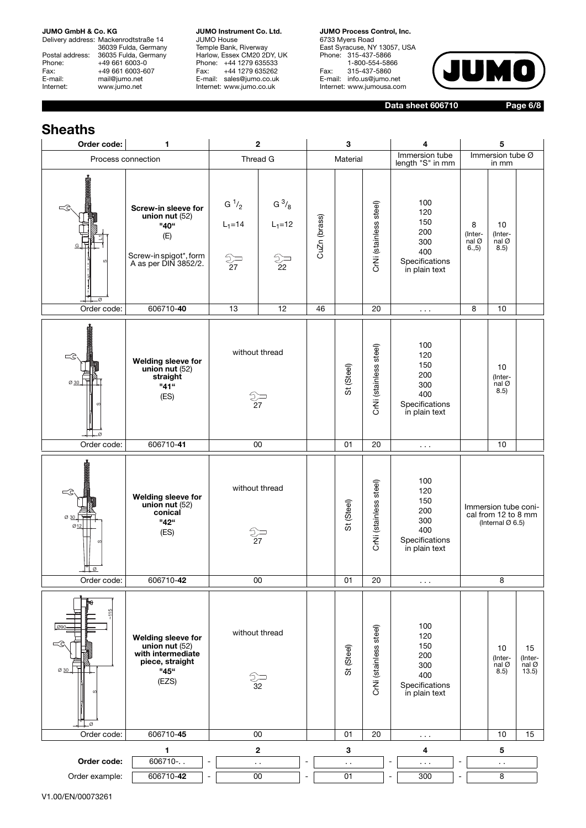Delivery address: Mackenrodtstraße 14 36039 Fulda, Germany Postal address: 36035 Fulda, Germany Phone: +49 661 6003-0<br>Fax: +49 661 6003-60 Fax: +49 661 6003-607<br>E-mail: mail@jumo.net E-mail: mail@jumo.net<br>Internet: www.iumo.net www.jumo.net

**JUMO Instrument Co. Ltd.** JUMO House Temple Bank, Riverway Harlow, Essex CM20 2DY, UK Phone: +44 1279 635533 Fax: +44 1279 635262 E-mail: sales@jumo.co.uk Internet: www.jumo.co.uk

**JUMO Process Control, Inc.** 6733 Myers Road East Syracuse, NY 13057, USA Phone: 315-437-5866 1-800-554-5866 Fax: 315-437-5860 E-mail: info.us@jumo.net Internet: www.jumousa.com



**Data sheet 606710**

**Page 6/8**

## **Sheaths**

| Order code:                    | 1                                                                                                        |                                         | 2                                         |                              | 3                      |                        | 4                                                                         |                                 | 5                                                                           |                                 |
|--------------------------------|----------------------------------------------------------------------------------------------------------|-----------------------------------------|-------------------------------------------|------------------------------|------------------------|------------------------|---------------------------------------------------------------------------|---------------------------------|-----------------------------------------------------------------------------|---------------------------------|
| Process connection             |                                                                                                          |                                         | Thread G                                  |                              | Material               |                        | Immersion tube<br>length "S" in mm                                        |                                 | Immersion tube Ø<br>in mm                                                   |                                 |
| <b>BOOKSOOT</b><br>-Ø          | Screw-in sleeve for<br>union nut $(52)$<br>"40"<br>(E)<br>Screw-in spigot*, form<br>A as per DIN 3852/2. | $G^1/2$<br>$L_1 = 14$<br>$\frac{2}{27}$ | $G^{3/8}$<br>$L_1 = 12$<br>$\frac{2}{22}$ | CuZn (brass)                 |                        | CrNi (stainless steel) | 100<br>120<br>150<br>200<br>300<br>400<br>Specifications<br>in plain text | 8<br>(Inter-<br>nal Ø<br>6., 5) | 10<br>(Inter-<br>nal Ø<br>8.5)                                              |                                 |
| Order code:                    | 606710-40                                                                                                | 13                                      | 12                                        | 46                           |                        | 20                     | $\sim$ $\sim$ $\sim$                                                      | 8                               | 10                                                                          |                                 |
| <b>BSSSSSEL</b><br>Ø 30        | Welding sleeve for<br>union nut $(52)$<br>straight<br>"41"<br>(ES)                                       |                                         | without thread<br>$\frac{2}{27}$          |                              | St (Steel)             | CrNi (stainless steel) | 100<br>120<br>150<br>200<br>300<br>400<br>Specifications<br>in plain text |                                 | 10<br>(Inter-<br>nal $\varnothing$<br>8.5)                                  |                                 |
| Order code:                    | 606710-41                                                                                                |                                         | 00                                        |                              | 01                     | 20                     | $\sim$ $\sim$ $\sim$                                                      |                                 | 10                                                                          |                                 |
| Ø1                             | Welding sleeve for<br>union nut $(52)$<br>conical<br>"42"<br>(ES)                                        |                                         | without thread<br>స్<br>27                |                              | St (Steel)             | CrNi (stainless steel) | 100<br>120<br>150<br>200<br>300<br>400<br>Specifications<br>in plain text |                                 | Immersion tube coni-<br>cal from 12 to 8 mm<br>(Internal $\varnothing$ 6.5) |                                 |
| Order code:                    | 606710-42                                                                                                |                                         | $\overline{00}$                           |                              | 01                     | $\overline{20}$        | $\sim$ $\sim$                                                             |                                 | 8                                                                           |                                 |
| $\frac{115}{11}$<br>Ø 30<br>⊥∞ | <b>Welding sleeve for</b><br>union nut $(52)$<br>with intermediate<br>piece, straight<br>"45"<br>(EZS)   |                                         | without thread<br>⊃<br>32                 |                              | St (Steel)             | CrNi (stainless steel) | 100<br>120<br>150<br>200<br>300<br>400<br>Specifications<br>in plain text |                                 | 10<br>(Inter-<br>nal Ø<br>$\frac{3.5}{6}$                                   | 15<br>(Inter-<br>nal Ø<br>13.5) |
| Order code:                    | 606710-45                                                                                                |                                         | 00                                        |                              | 01                     | 20                     | $\sim$ $\sim$                                                             |                                 | 10                                                                          | 15                              |
| Order code:                    | 1<br>606710 -                                                                                            | $\blacksquare$                          | 2<br>$\sim$                               | $\overline{\phantom{a}}$     | $\mathbf{3}$<br>$\sim$ |                        | 4<br>÷,<br>$\ldots$                                                       | $\overline{\phantom{a}}$        | 5<br>$\sim$                                                                 |                                 |
| Order example:                 | 606710-42                                                                                                | $\blacksquare$                          | 00                                        | $\qquad \qquad \blacksquare$ | 01                     |                        | 300<br>$\qquad \qquad \blacksquare$                                       | $\blacksquare$                  | 8                                                                           |                                 |

V1.00/EN/00073261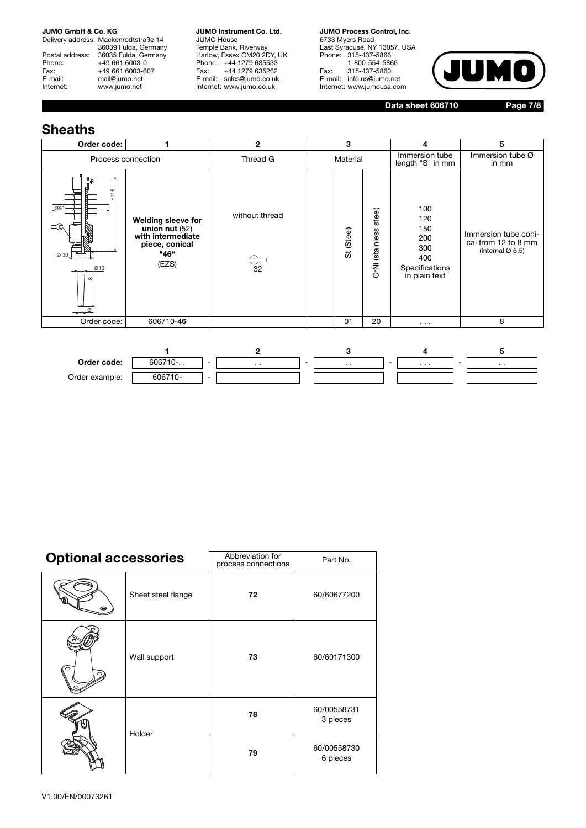Delivery address: Mackenrodtstraße 14 36039 Fulda, Germany Postal address: 36035 Fulda, Germany Phone: +49 661 6003-0<br>Fax: +49 661 6003-60 Fax: +49 661 6003-607<br>E-mail: mail@jumo.net E-mail: mail@jumo.net<br>
Internet: www.iumo.net www.jumo.net

**JUMO Instrument Co. Ltd.** JUMO House Temple Bank, Riverway Harlow, Essex CM20 2DY, UK Phone: +44 1279 635533<br>Fax: +44 1279 635262 +44 1279 635262 E-mail: sales@jumo.co.uk Internet: www.jumo.co.uk

**JUMO Process Control, Inc.** 6733 Myers Road East Syracuse, NY 13057, USA Phone: 315-437-5866 1-800-554-5866 Fax: 315-437-5860 E-mail: info.us@jumo.net Internet: www.jumousa.com



**Data sheet 606710**

**Page 7/8**

## **Sheaths**

| Order code:                                  |                                                                                                | $\mathbf{2}$                   | 3          |                           | 4                                                                         | 5                                                                           |
|----------------------------------------------|------------------------------------------------------------------------------------------------|--------------------------------|------------|---------------------------|---------------------------------------------------------------------------|-----------------------------------------------------------------------------|
| Process connection                           |                                                                                                | Thread G                       | Material   |                           | Immersion tube<br>length "S" in mm                                        | Immersion tube Ø<br>in mm                                                   |
| 115<br>.090-<br>$\leq$ c<br>Ø 30<br>Ø12<br>Ø | Welding sleeve for<br>union nut $(52)$<br>with intermediate<br>piece, conical<br>"46"<br>(EZS) | without thread<br>$rac{2}{32}$ | St (Steel) | steel)<br>CrNi (stainless | 100<br>120<br>150<br>200<br>300<br>400<br>Specifications<br>in plain text | Immersion tube coni-<br>cal from 12 to 8 mm<br>(Internal $\varnothing$ 6.5) |
| Order code:                                  | 606710-46                                                                                      |                                | 01         | 20                        | $\cdots$                                                                  | 8                                                                           |
|                                              |                                                                                                | $\mathbf{2}$                   | 3          |                           | 4                                                                         | 5                                                                           |



| <b>Optional accessories</b> |                    | Abbreviation for<br>process connections | Part No.                |
|-----------------------------|--------------------|-----------------------------------------|-------------------------|
|                             | Sheet steel flange | 72                                      | 60/60677200             |
| $\circ$                     | Wall support       | 73                                      | 60/60171300             |
|                             | Holder             | 78                                      | 60/00558731<br>3 pieces |
|                             |                    | 79                                      | 60/00558730<br>6 pieces |